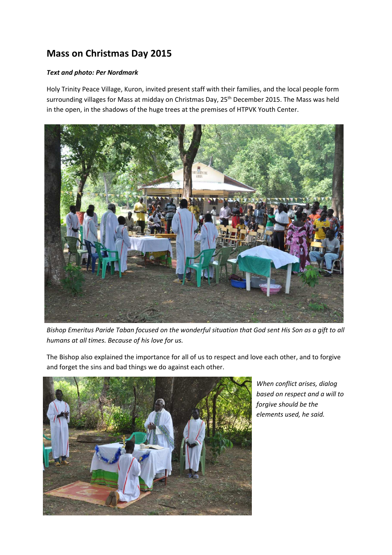## **Mass on Christmas Day 2015**

## *Text and photo: Per Nordmark*

Holy Trinity Peace Village, Kuron, invited present staff with their families, and the local people form surrounding villages for Mass at midday on Christmas Day, 25<sup>th</sup> December 2015. The Mass was held in the open, in the shadows of the huge trees at the premises of HTPVK Youth Center.



*Bishop Emeritus Paride Taban focused on the wonderful situation that God sent His Son as a gift to all humans at all times. Because of his love for us.* 

The Bishop also explained the importance for all of us to respect and love each other, and to forgive and forget the sins and bad things we do against each other.



*When conflict arises, dialog based on respect and a will to forgive should be the elements used, he said.*